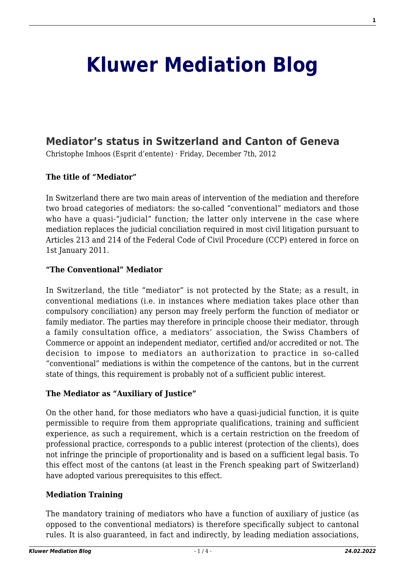# **[Kluwer Mediation Blog](http://mediationblog.kluwerarbitration.com/)**

## **[Mediator's status in Switzerland and Canton of Geneva](http://mediationblog.kluwerarbitration.com/2012/12/07/mediators-status-in-switzerland-and-canton-of-geneva/)**

Christophe Imhoos (Esprit d'entente) · Friday, December 7th, 2012

#### **The title of "Mediator"**

In Switzerland there are two main areas of intervention of the mediation and therefore two broad categories of mediators: the so-called "conventional" mediators and those who have a quasi-"judicial" function; the latter only intervene in the case where mediation replaces the judicial conciliation required in most civil litigation pursuant to Articles 213 and 214 of the Federal Code of Civil Procedure (CCP) entered in force on 1st January 2011.

#### **"The Conventional" Mediator**

In Switzerland, the title "mediator" is not protected by the State; as a result, in conventional mediations (i.e. in instances where mediation takes place other than compulsory conciliation) any person may freely perform the function of mediator or family mediator. The parties may therefore in principle choose their mediator, through a family consultation office, a mediators' association, the Swiss Chambers of Commerce or appoint an independent mediator, certified and/or accredited or not. The decision to impose to mediators an authorization to practice in so-called "conventional" mediations is within the competence of the cantons, but in the current state of things, this requirement is probably not of a sufficient public interest.

#### **The Mediator as "Auxiliary of Justice"**

On the other hand, for those mediators who have a quasi-judicial function, it is quite permissible to require from them appropriate qualifications, training and sufficient experience, as such a requirement, which is a certain restriction on the freedom of professional practice, corresponds to a public interest (protection of the clients), does not infringe the principle of proportionality and is based on a sufficient legal basis. To this effect most of the cantons (at least in the French speaking part of Switzerland) have adopted various prerequisites to this effect.

#### **Mediation Training**

The mandatory training of mediators who have a function of auxiliary of justice (as opposed to the conventional mediators) is therefore specifically subject to cantonal rules. It is also guaranteed, in fact and indirectly, by leading mediation associations,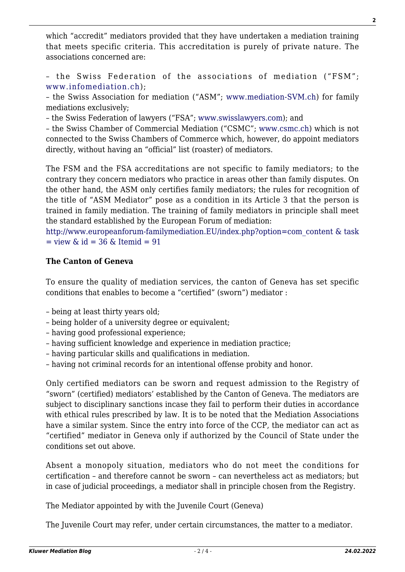which "accredit" mediators provided that they have undertaken a mediation training that meets specific criteria. This accreditation is purely of private nature. The associations concerned are:

– the Swiss Federation of the associations of mediation ("FSM"; [www.infomediation.ch](http://www.infomediation.ch));

– the Swiss Association for mediation ("ASM"; [www.mediation-SVM.ch\)](http://www.mediation-svm.ch) for family mediations exclusively;

– the Swiss Federation of lawyers ("FSA"; [www.swisslawyers.com\)](http://www.swisslawyers.ch); and

– the Swiss Chamber of Commercial Mediation ("CSMC"; [www.csmc.ch\)](http://www.csmc.ch) which is not connected to the Swiss Chambers of Commerce which, however, do appoint mediators directly, without having an "official" list (roaster) of mediators.

The FSM and the FSA accreditations are not specific to family mediators; to the contrary they concern mediators who practice in areas other than family disputes. On the other hand, the ASM only certifies family mediators; the rules for recognition of the title of "ASM Mediator" pose as a condition in its Article 3 that the person is trained in family mediation. The training of family mediators in principle shall meet the standard established by the European Forum of mediation:

[http://www.europeanforum-familymediation.EU/index.php?option=com\\_content & task](http://www.europeanforum-familymediation.EU/index.php?option=com_content & task = view & id = 36 & Itemid = 91)  $=$  view  $\&$  id  $=$  36  $\&$  Itemid  $=$  91

### **The Canton of Geneva**

To ensure the quality of mediation services, the canton of Geneva has set specific conditions that enables to become a "certified" (sworn") mediator :

- being at least thirty years old;
- being holder of a university degree or equivalent;
- having good professional experience;
- having sufficient knowledge and experience in mediation practice;
- having particular skills and qualifications in mediation.
- having not criminal records for an intentional offense probity and honor.

Only certified mediators can be sworn and request admission to the Registry of "sworn" (certified) mediators' established by the Canton of Geneva. The mediators are subject to disciplinary sanctions incase they fail to perform their duties in accordance with ethical rules prescribed by law. It is to be noted that the Mediation Associations have a similar system. Since the entry into force of the CCP, the mediator can act as "certified" mediator in Geneva only if authorized by the Council of State under the conditions set out above.

Absent a monopoly situation, mediators who do not meet the conditions for certification – and therefore cannot be sworn – can nevertheless act as mediators; but in case of judicial proceedings, a mediator shall in principle chosen from the Registry.

The Mediator appointed by with the Juvenile Court (Geneva)

The Juvenile Court may refer, under certain circumstances, the matter to a mediator.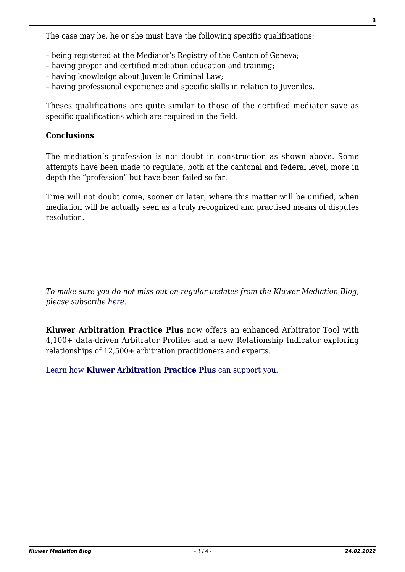The case may be, he or she must have the following specific qualifications:

- being registered at the Mediator's Registry of the Canton of Geneva;
- having proper and certified mediation education and training;
- having knowledge about Juvenile Criminal Law;
- having professional experience and specific skills in relation to Juveniles.

Theses qualifications are quite similar to those of the certified mediator save as specific qualifications which are required in the field.

#### **Conclusions**

The mediation's profession is not doubt in construction as shown above. Some attempts have been made to regulate, both at the cantonal and federal level, more in depth the "profession" but have been failed so far.

Time will not doubt come, sooner or later, where this matter will be unified, when mediation will be actually seen as a truly recognized and practised means of disputes resolution.

[Learn how](https://www.wolterskluwer.com/en/solutions/kluwerarbitration/practiceplus?utm_source=mediationblog&utm_medium=articleCTA&utm_campaign=article-banner) **[Kluwer Arbitration Practice Plus](https://www.wolterskluwer.com/en/solutions/kluwerarbitration/practiceplus?utm_source=mediationblog&utm_medium=articleCTA&utm_campaign=article-banner)** [can support you.](https://www.wolterskluwer.com/en/solutions/kluwerarbitration/practiceplus?utm_source=mediationblog&utm_medium=articleCTA&utm_campaign=article-banner)

*To make sure you do not miss out on regular updates from the Kluwer Mediation Blog, please subscribe [here.](http://mediationblog.kluwerarbitration.com/newsletter/)*

**Kluwer Arbitration Practice Plus** now offers an enhanced Arbitrator Tool with 4,100+ data-driven Arbitrator Profiles and a new Relationship Indicator exploring relationships of 12,500+ arbitration practitioners and experts.